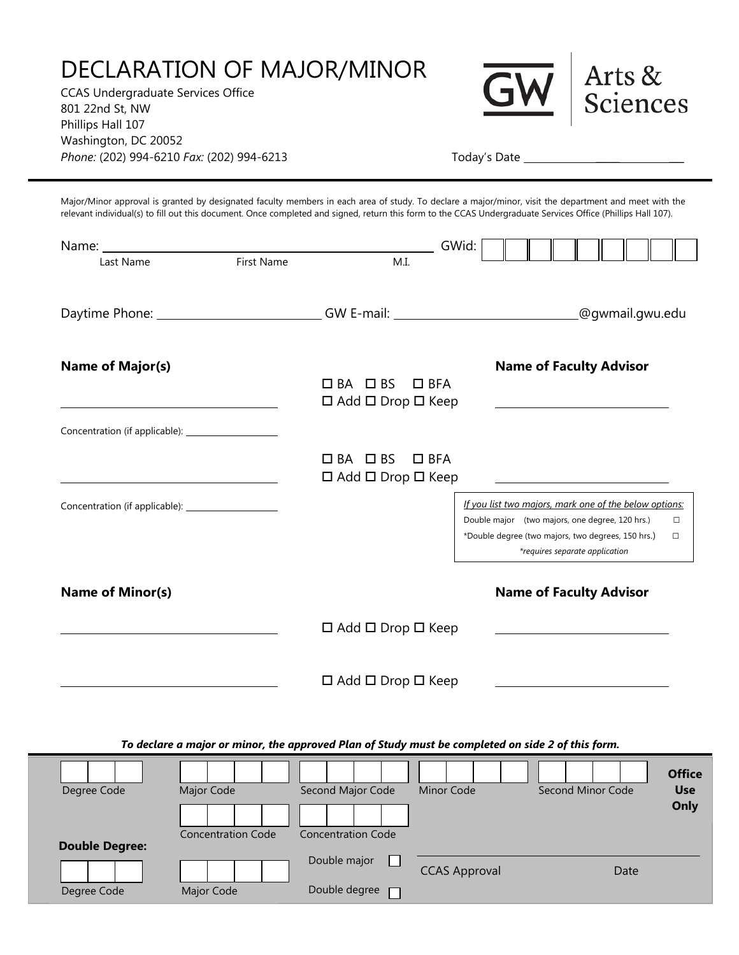## DECLARATION OF MAJOR/MINOR

CCAS Undergraduate Services Office 801 22nd St, NW Phillips Hall 107 Washington, DC 20052 *Phone:* (202) 994-6210 *Fax:* (202) 994-6213 Today's Date \_



Arts & Sciences

Major/Minor approval is granted by designated faculty members in each area of study. To declare a major/minor, visit the department and meet with the relevant individual(s) to fill out this document. Once completed and signed, return this form to the CCAS Undergraduate Services Office (Phillips Hall 107).

| Name:                                                  |                                |                                                                                  | GWid:                                                                                             |                 |  |
|--------------------------------------------------------|--------------------------------|----------------------------------------------------------------------------------|---------------------------------------------------------------------------------------------------|-----------------|--|
| Last Name                                              | First Name                     | M.I.                                                                             |                                                                                                   |                 |  |
|                                                        |                                |                                                                                  |                                                                                                   |                 |  |
|                                                        |                                |                                                                                  |                                                                                                   |                 |  |
|                                                        |                                | Daytime Phone: ________________________________GW E-mail: ______________________ |                                                                                                   | @gwmail.gwu.edu |  |
|                                                        |                                |                                                                                  |                                                                                                   |                 |  |
|                                                        |                                |                                                                                  |                                                                                                   |                 |  |
| <b>Name of Major(s)</b>                                |                                | $\Box$ BA $\Box$ BS<br>$\Box$ BFA                                                | <b>Name of Faculty Advisor</b>                                                                    |                 |  |
|                                                        |                                |                                                                                  |                                                                                                   |                 |  |
|                                                        |                                | $\Box$ Add $\Box$ Drop $\Box$ Keep                                               | <u> 1989 - Johann Barbara, martxa alemaniar a</u>                                                 |                 |  |
| Concentration (if applicable): _______________________ |                                |                                                                                  |                                                                                                   |                 |  |
|                                                        |                                |                                                                                  |                                                                                                   |                 |  |
|                                                        |                                | $\Box$ BA $\Box$ BS<br>$\square$ BFA                                             |                                                                                                   |                 |  |
|                                                        |                                | $\Box$ Add $\Box$ Drop $\Box$ Keep                                               |                                                                                                   |                 |  |
|                                                        |                                |                                                                                  | If you list two majors, mark one of the below options:                                            |                 |  |
|                                                        |                                |                                                                                  | Double major (two majors, one degree, 120 hrs.)                                                   | $\Box$          |  |
|                                                        |                                |                                                                                  | *Double degree (two majors, two degrees, 150 hrs.)                                                | $\Box$          |  |
|                                                        |                                |                                                                                  | *requires separate application                                                                    |                 |  |
|                                                        |                                |                                                                                  |                                                                                                   |                 |  |
| <b>Name of Minor(s)</b>                                | <b>Name of Faculty Advisor</b> |                                                                                  |                                                                                                   |                 |  |
|                                                        |                                |                                                                                  |                                                                                                   |                 |  |
|                                                        |                                | $\Box$ Add $\Box$ Drop $\Box$ Keep                                               |                                                                                                   |                 |  |
|                                                        |                                |                                                                                  |                                                                                                   |                 |  |
|                                                        |                                |                                                                                  |                                                                                                   |                 |  |
|                                                        |                                | $\Box$ Add $\Box$ Drop $\Box$ Keep                                               |                                                                                                   |                 |  |
|                                                        |                                |                                                                                  |                                                                                                   |                 |  |
|                                                        |                                |                                                                                  |                                                                                                   |                 |  |
|                                                        |                                |                                                                                  |                                                                                                   |                 |  |
|                                                        |                                |                                                                                  | To declare a major or minor, the approved Plan of Study must be completed on side 2 of this form. |                 |  |
|                                                        |                                |                                                                                  |                                                                                                   | <b>Office</b>   |  |
| Degree Code                                            | Major Code                     | Second Major Code<br>Minor Code                                                  | Second Minor Code                                                                                 | <b>Use</b>      |  |
|                                                        |                                |                                                                                  |                                                                                                   | Only            |  |
|                                                        |                                |                                                                                  |                                                                                                   |                 |  |
| <b>Double Degree:</b>                                  | <b>Concentration Code</b>      | <b>Concentration Code</b>                                                        |                                                                                                   |                 |  |
|                                                        |                                | Double major                                                                     |                                                                                                   |                 |  |
|                                                        |                                |                                                                                  | <b>CCAS Approval</b>                                                                              | Date            |  |
| Degree Code                                            | Major Code                     | Double degree                                                                    |                                                                                                   |                 |  |